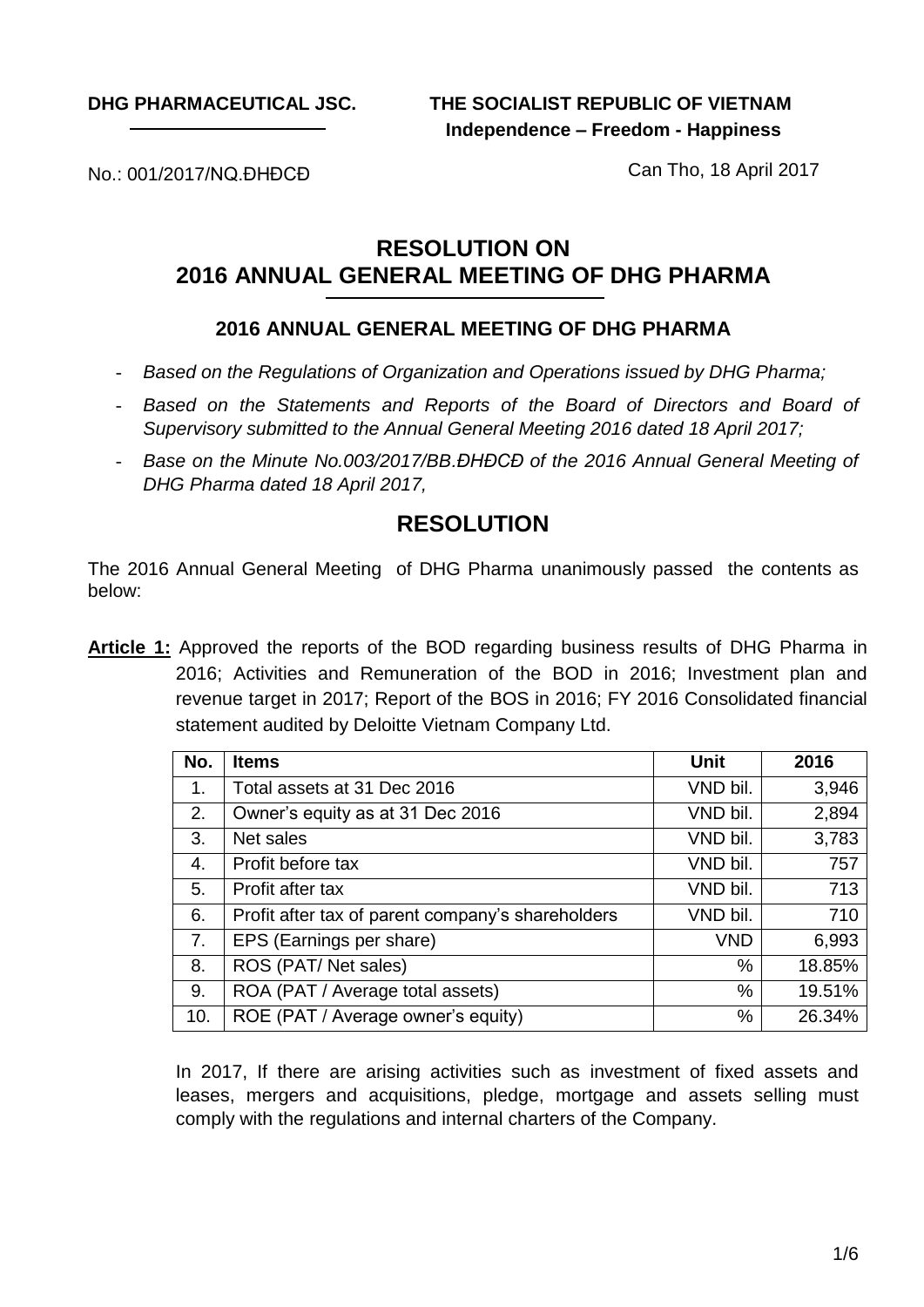**DHG PHARMACEUTICAL JSC.**

**THE SOCIALIST REPUBLIC OF VIETNAM Independence – Freedom - Happiness**

No.: 001/2017/NQ.ĐHĐCĐ

Can Tho, 18 April 2017

# **RESOLUTION ON 2016 ANNUAL GENERAL MEETING OF DHG PHARMA**

### **2016 ANNUAL GENERAL MEETING OF DHG PHARMA**

- *Based on the Regulations of Organization and Operations issued by DHG Pharma;*
- *Based on the Statements and Reports of the Board of Directors and Board of Supervisory submitted to the Annual General Meeting 2016 dated 18 April 2017;*
- *Base on the Minute No.003/2017/BB.ĐHĐCĐ of the 2016 Annual General Meeting of DHG Pharma dated 18 April 2017,*

## **RESOLUTION**

The 2016 Annual General Meeting of DHG Pharma unanimously passed the contents as below:

**Article 1:** Approved the reports of the BOD regarding business results of DHG Pharma in 2016; Activities and Remuneration of the BOD in 2016; Investment plan and revenue target in 2017; Report of the BOS in 2016; FY 2016 Consolidated financial statement audited by Deloitte Vietnam Company Ltd.

| No. | <b>Items</b>                                      | <b>Unit</b> | 2016   |
|-----|---------------------------------------------------|-------------|--------|
| 1.  | Total assets at 31 Dec 2016                       | VND bil.    | 3,946  |
| 2.  | Owner's equity as at 31 Dec 2016                  | VND bil.    | 2,894  |
| 3.  | Net sales                                         | VND bil.    | 3,783  |
| 4.  | Profit before tax                                 | VND bil.    | 757    |
| 5.  | Profit after tax                                  | VND bil.    | 713    |
| 6.  | Profit after tax of parent company's shareholders | VND bil.    | 710    |
| 7.  | EPS (Earnings per share)                          | <b>VND</b>  | 6,993  |
| 8.  | ROS (PAT/Net sales)                               | %           | 18.85% |
| 9.  | ROA (PAT / Average total assets)                  | $\%$        | 19.51% |
| 10. | ROE (PAT / Average owner's equity)                | %           | 26.34% |

In 2017, If there are arising activities such as investment of fixed assets and leases, mergers and acquisitions, pledge, mortgage and assets selling must comply with the regulations and internal charters of the Company.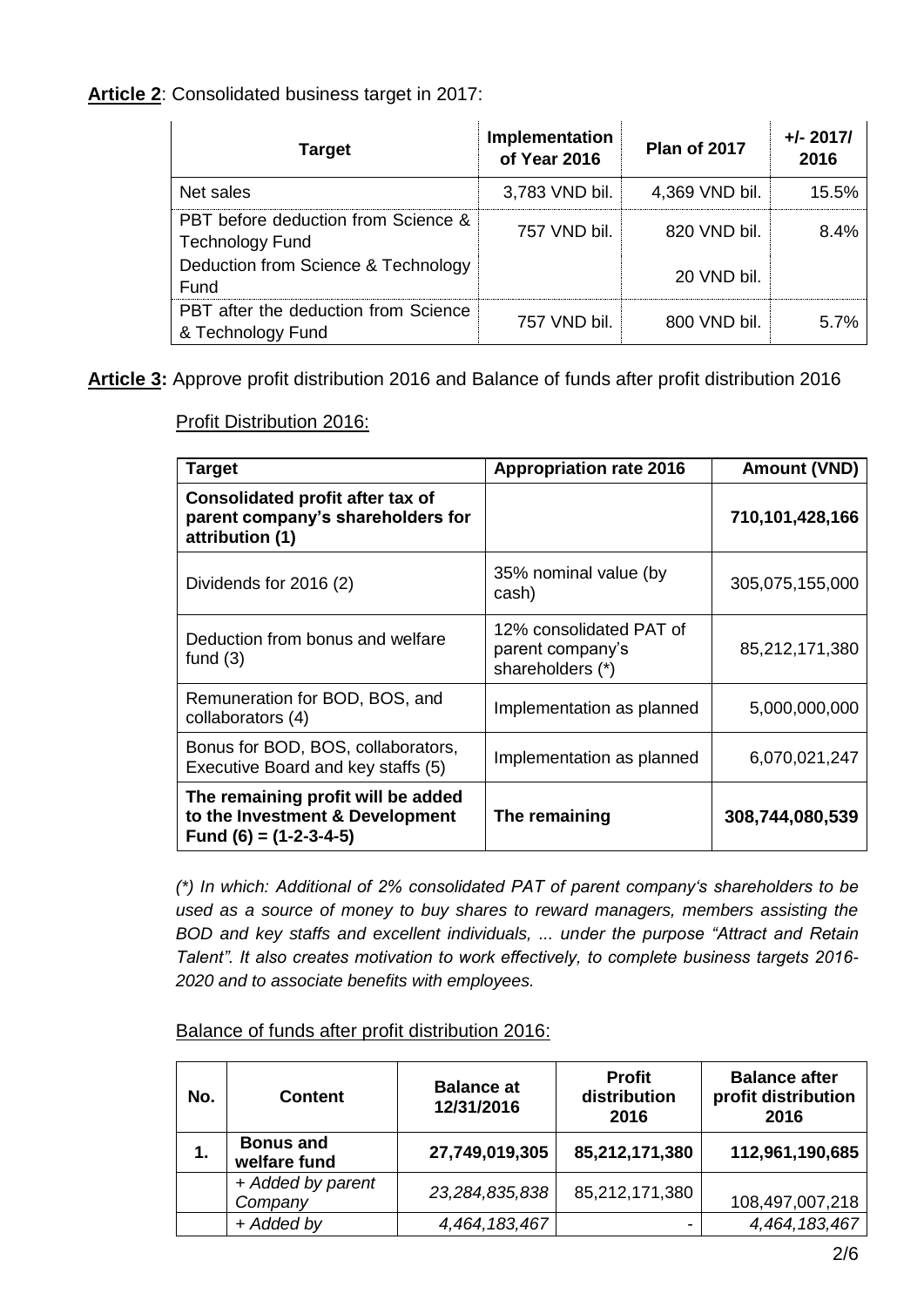#### **Article 2**: Consolidated business target in 2017:

| <b>Target</b>                                                 | Implementation<br>of Year 2016 | <b>Plan of 2017</b> | $+/- 2017/$<br>2016 |
|---------------------------------------------------------------|--------------------------------|---------------------|---------------------|
| Net sales                                                     | 3,783 VND bil.                 | 4,369 VND bil.      | 15.5%               |
| PBT before deduction from Science &<br><b>Technology Fund</b> | 757 VND bil.                   | 820 VND bil.        | 8.4%                |
| Deduction from Science & Technology<br>Fund                   |                                | 20 VND bil.         |                     |
| PBT after the deduction from Science<br>& Technology Fund     | 757 VND bil.                   | 800 VND bil.        | 5.7%                |

**Article 3:** Approve profit distribution 2016 and Balance of funds after profit distribution 2016

Profit Distribution 2016:

| <b>Target</b>                                                                                     | <b>Appropriation rate 2016</b>                                  | <b>Amount (VND)</b> |
|---------------------------------------------------------------------------------------------------|-----------------------------------------------------------------|---------------------|
| Consolidated profit after tax of<br>parent company's shareholders for<br>attribution (1)          |                                                                 | 710,101,428,166     |
| Dividends for 2016 (2)                                                                            | 35% nominal value (by<br>cash)                                  | 305,075,155,000     |
| Deduction from bonus and welfare<br>fund $(3)$                                                    | 12% consolidated PAT of<br>parent company's<br>shareholders (*) | 85,212,171,380      |
| Remuneration for BOD, BOS, and<br>collaborators (4)                                               | Implementation as planned                                       | 5,000,000,000       |
| Bonus for BOD, BOS, collaborators,<br>Executive Board and key staffs (5)                          | Implementation as planned                                       | 6,070,021,247       |
| The remaining profit will be added<br>to the Investment & Development<br>Fund $(6) = (1-2-3-4-5)$ | The remaining                                                   | 308,744,080,539     |

*(\*) In which: Additional of 2% consolidated PAT of parent company's shareholders to be used as a source of money to buy shares to reward managers, members assisting the BOD and key staffs and excellent individuals, ... under the purpose "Attract and Retain Talent". It also creates motivation to work effectively, to complete business targets 2016- 2020 and to associate benefits with employees.*

Balance of funds after profit distribution 2016:

| No. | <b>Content</b>                   | <b>Balance at</b><br>12/31/2016 | <b>Profit</b><br>distribution<br>2016 | <b>Balance after</b><br>profit distribution<br>2016 |
|-----|----------------------------------|---------------------------------|---------------------------------------|-----------------------------------------------------|
| 1.  | <b>Bonus and</b><br>welfare fund | 27,749,019,305                  | 85,212,171,380                        | 112,961,190,685                                     |
|     | + Added by parent<br>Company     | 23,284,835,838                  | 85,212,171,380                        | 108,497,007,218                                     |
|     | + Added by                       | 4,464,183,467                   |                                       | 4,464,183,467                                       |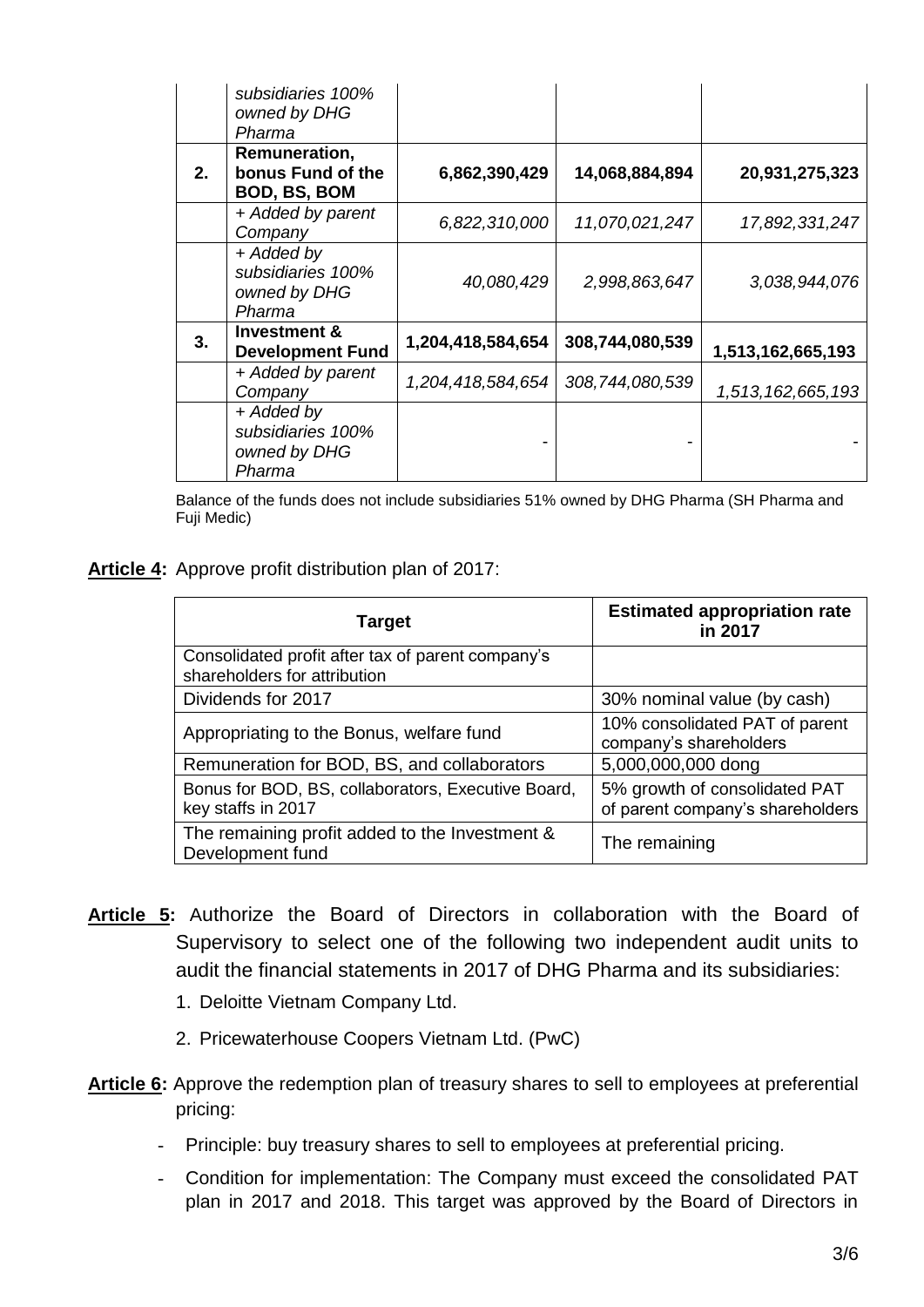|    | subsidiaries 100%<br>owned by DHG<br>Pharma               |                   |                 |                   |
|----|-----------------------------------------------------------|-------------------|-----------------|-------------------|
| 2. | Remuneration,<br>bonus Fund of the<br><b>BOD, BS, BOM</b> | 6,862,390,429     | 14,068,884,894  | 20,931,275,323    |
|    | + Added by parent<br>Company                              | 6,822,310,000     | 11,070,021,247  | 17,892,331,247    |
|    | + Added by<br>subsidiaries 100%<br>owned by DHG<br>Pharma | 40,080,429        | 2,998,863,647   | 3,038,944,076     |
| 3. | <b>Investment &amp;</b><br><b>Development Fund</b>        | 1,204,418,584,654 | 308,744,080,539 | 1,513,162,665,193 |
|    | + Added by parent<br>Company                              | 1,204,418,584,654 | 308,744,080,539 | 1,513,162,665,193 |
|    | + Added by<br>subsidiaries 100%<br>owned by DHG<br>Pharma |                   |                 |                   |

Balance of the funds does not include subsidiaries 51% owned by DHG Pharma (SH Pharma and Fuji Medic)

#### **Article 4:** Approve profit distribution plan of 2017:

| Target                                                                            | <b>Estimated appropriation rate</b><br>in 2017                    |
|-----------------------------------------------------------------------------------|-------------------------------------------------------------------|
| Consolidated profit after tax of parent company's<br>shareholders for attribution |                                                                   |
| Dividends for 2017                                                                | 30% nominal value (by cash)                                       |
| Appropriating to the Bonus, welfare fund                                          | 10% consolidated PAT of parent<br>company's shareholders          |
| Remuneration for BOD, BS, and collaborators                                       | 5,000,000,000 dong                                                |
| Bonus for BOD, BS, collaborators, Executive Board,<br>key staffs in 2017          | 5% growth of consolidated PAT<br>of parent company's shareholders |
| The remaining profit added to the Investment &<br>Development fund                | The remaining                                                     |

- **Article 5:** Authorize the Board of Directors in collaboration with the Board of Supervisory to select one of the following two independent audit units to audit the financial statements in 2017 of DHG Pharma and its subsidiaries:
	- 1. Deloitte Vietnam Company Ltd.
	- 2. Pricewaterhouse Coopers Vietnam Ltd. (PwC)
- **Article 6:** Approve the redemption plan of treasury shares to sell to employees at preferential pricing:
	- Principle: buy treasury shares to sell to employees at preferential pricing.
	- Condition for implementation: The Company must exceed the consolidated PAT plan in 2017 and 2018. This target was approved by the Board of Directors in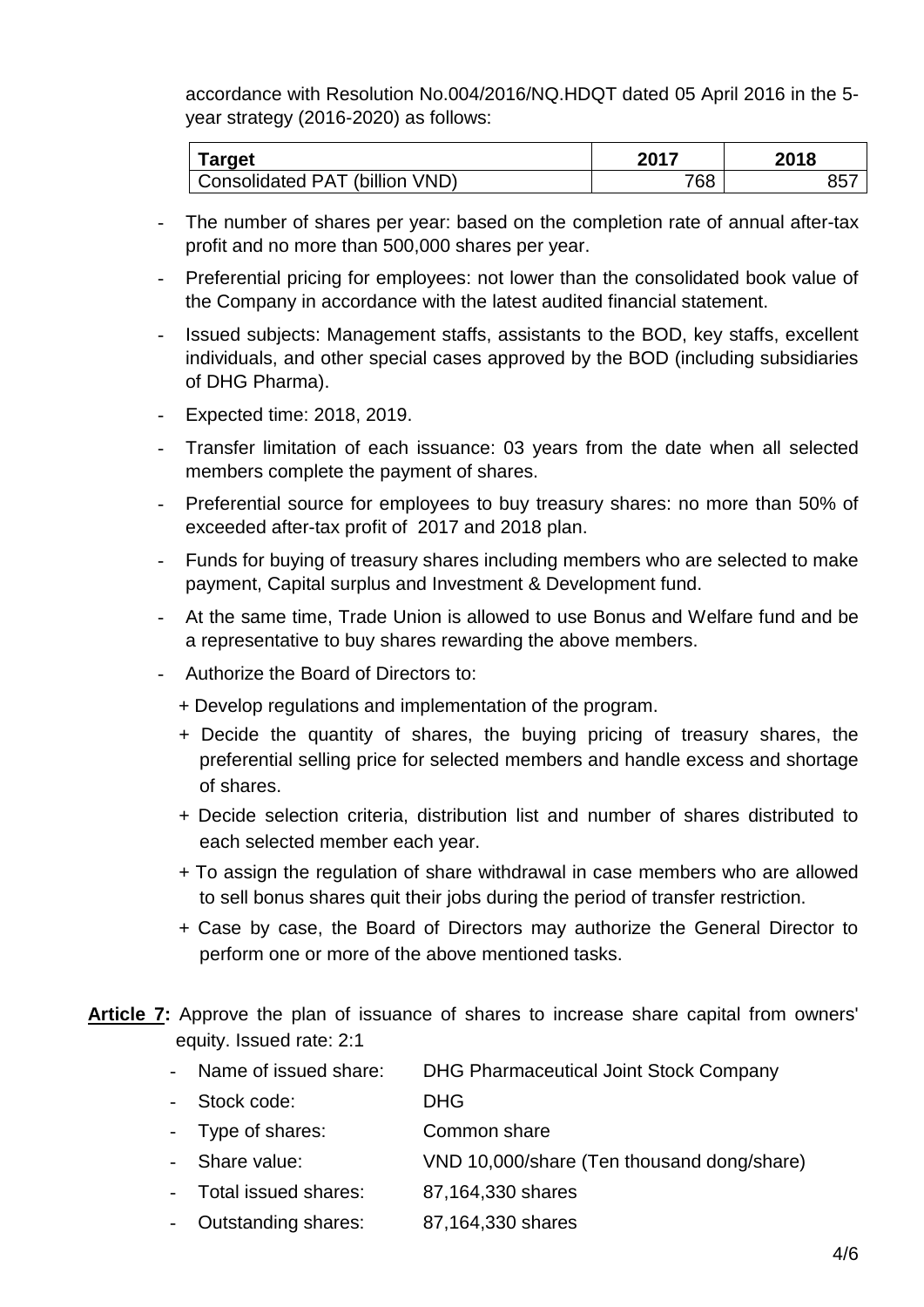accordance with Resolution No.004/2016/NQ.HDQT dated 05 April 2016 in the 5 year strategy (2016-2020) as follows:

| <b>Target</b>                  | 2017 | 2018  |
|--------------------------------|------|-------|
| Consolidated PAT (billion VND) | 768  | $85-$ |

- The number of shares per year: based on the completion rate of annual after-tax profit and no more than 500,000 shares per year.
- Preferential pricing for employees: not lower than the consolidated book value of the Company in accordance with the latest audited financial statement.
- Issued subjects: Management staffs, assistants to the BOD, key staffs, excellent individuals, and other special cases approved by the BOD (including subsidiaries of DHG Pharma).
- Expected time: 2018, 2019.
- Transfer limitation of each issuance: 03 years from the date when all selected members complete the payment of shares.
- Preferential source for employees to buy treasury shares: no more than 50% of exceeded after-tax profit of 2017 and 2018 plan.
- Funds for buying of treasury shares including members who are selected to make payment, Capital surplus and Investment & Development fund.
- At the same time, Trade Union is allowed to use Bonus and Welfare fund and be a representative to buy shares rewarding the above members.
- Authorize the Board of Directors to:
	- + Develop regulations and implementation of the program.
	- + Decide the quantity of shares, the buying pricing of treasury shares, the preferential selling price for selected members and handle excess and shortage of shares.
	- + Decide selection criteria, distribution list and number of shares distributed to each selected member each year.
	- + To assign the regulation of share withdrawal in case members who are allowed to sell bonus shares quit their jobs during the period of transfer restriction.
	- + Case by case, the Board of Directors may authorize the General Director to perform one or more of the above mentioned tasks.
- **Article 7:** Approve the plan of issuance of shares to increase share capital from owners' equity. Issued rate: 2:1
	- Name of issued share: DHG Pharmaceutical Joint Stock Company
	- Stock code: DHG
	- Type of shares: Common share
	- Share value: VND 10,000/share (Ten thousand dong/share)
	- Total issued shares: 87,164,330 shares
	- Outstanding shares: 87,164,330 shares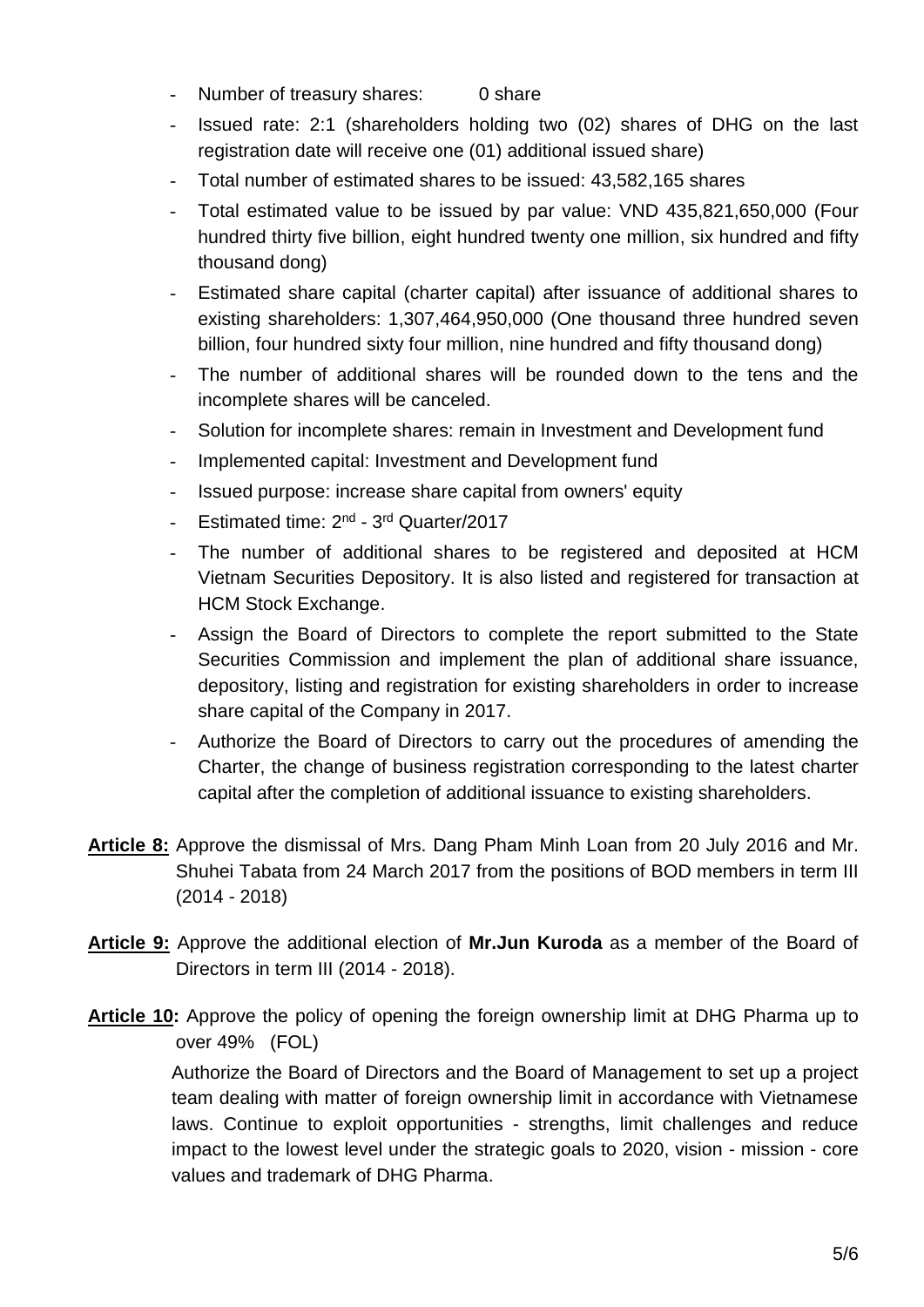- Number of treasury shares: 0 share
- Issued rate: 2:1 (shareholders holding two (02) shares of DHG on the last registration date will receive one (01) additional issued share)
- Total number of estimated shares to be issued: 43,582,165 shares
- Total estimated value to be issued by par value: VND 435,821,650,000 (Four hundred thirty five billion, eight hundred twenty one million, six hundred and fifty thousand dong)
- Estimated share capital (charter capital) after issuance of additional shares to existing shareholders: 1,307,464,950,000 (One thousand three hundred seven billion, four hundred sixty four million, nine hundred and fifty thousand dong)
- The number of additional shares will be rounded down to the tens and the incomplete shares will be canceled.
- Solution for incomplete shares: remain in Investment and Development fund
- Implemented capital: Investment and Development fund
- Issued purpose: increase share capital from owners' equity
- Estimated time: 2<sup>nd</sup> 3<sup>rd</sup> Quarter/2017
- The number of additional shares to be registered and deposited at HCM Vietnam Securities Depository. It is also listed and registered for transaction at HCM Stock Exchange.
- Assign the Board of Directors to complete the report submitted to the State Securities Commission and implement the plan of additional share issuance, depository, listing and registration for existing shareholders in order to increase share capital of the Company in 2017.
- Authorize the Board of Directors to carry out the procedures of amending the Charter, the change of business registration corresponding to the latest charter capital after the completion of additional issuance to existing shareholders.
- **Article 8:** Approve the dismissal of Mrs. Dang Pham Minh Loan from 20 July 2016 and Mr. Shuhei Tabata from 24 March 2017 from the positions of BOD members in term III (2014 - 2018)
- **Article 9:** Approve the additional election of **Mr.Jun Kuroda** as a member of the Board of Directors in term III (2014 - 2018).
- **Article 10:** Approve the policy of opening the foreign ownership limit at DHG Pharma up to over 49% (FOL)

Authorize the Board of Directors and the Board of Management to set up a project team dealing with matter of foreign ownership limit in accordance with Vietnamese laws. Continue to exploit opportunities - strengths, limit challenges and reduce impact to the lowest level under the strategic goals to 2020, vision - mission - core values and trademark of DHG Pharma.